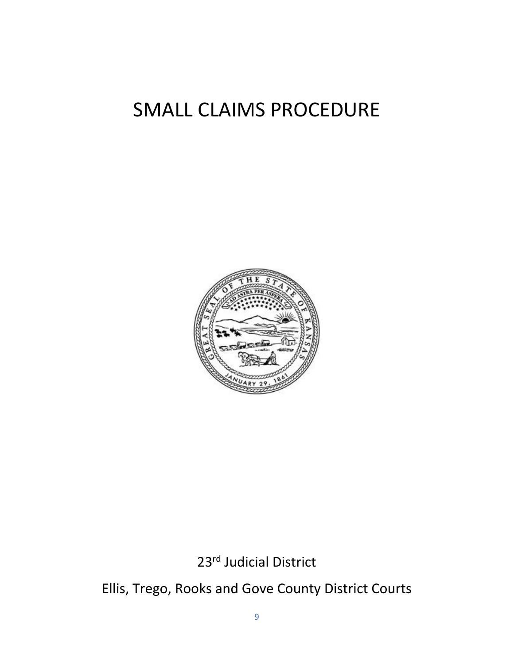# SMALL CLAIMS PROCEDURE



23rd Judicial District

Ellis, Trego, Rooks and Gove County District Courts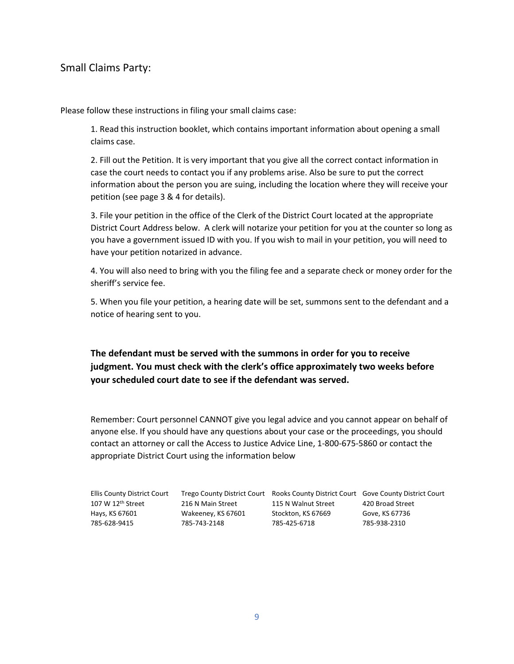### Small Claims Party:

Please follow these instructions in filing your small claims case:

1. Read this instruction booklet, which contains important information about opening a small claims case.

2. Fill out the Petition. It is very important that you give all the correct contact information in case the court needs to contact you if any problems arise. Also be sure to put the correct information about the person you are suing, including the location where they will receive your petition (see page 3 & 4 for details).

3. File your petition in the office of the Clerk of the District Court located at the appropriate District Court Address below. A clerk will notarize your petition for you at the counter so long as you have a government issued ID with you. If you wish to mail in your petition, you will need to have your petition notarized in advance.

4. You will also need to bring with you the filing fee and a separate check or money order for the sheriff's service fee.

5. When you file your petition, a hearing date will be set, summons sent to the defendant and a notice of hearing sent to you.

**The defendant must be served with the summons in order for you to receive judgment. You must check with the clerk's office approximately two weeks before your scheduled court date to see if the defendant was served.**

Remember: Court personnel CANNOT give you legal advice and you cannot appear on behalf of anyone else. If you should have any questions about your case or the proceedings, you should contact an attorney or call the Access to Justice Advice Line, 1-800-675-5860 or contact the appropriate District Court using the information below

| <b>Ellis County District Court</b> |                    | Trego County District Court Rooks County District Court Gove County District Court |                  |
|------------------------------------|--------------------|------------------------------------------------------------------------------------|------------------|
| 107 W 12 <sup>th</sup> Street      | 216 N Main Street  | 115 N Walnut Street                                                                | 420 Broad Street |
| Hays, KS 67601                     | Wakeeney, KS 67601 | Stockton, KS 67669                                                                 | Gove, KS 67736   |
| 785-628-9415                       | 785-743-2148       | 785-425-6718                                                                       | 785-938-2310     |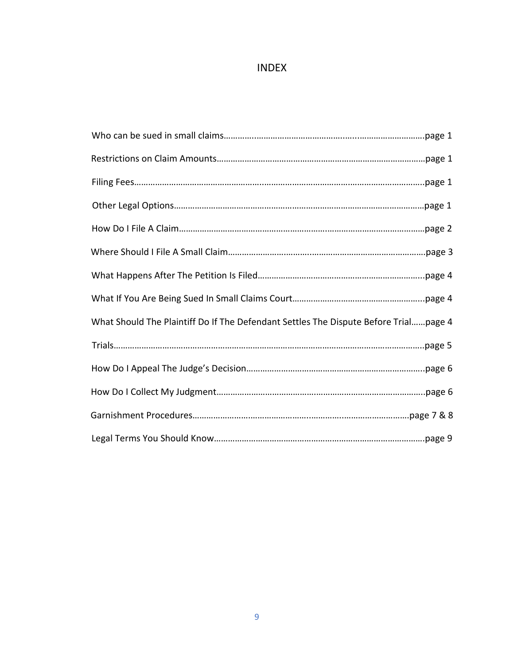## INDEX

| What Should The Plaintiff Do If The Defendant Settles The Dispute Before Trialpage 4 |
|--------------------------------------------------------------------------------------|
|                                                                                      |
|                                                                                      |
|                                                                                      |
|                                                                                      |
|                                                                                      |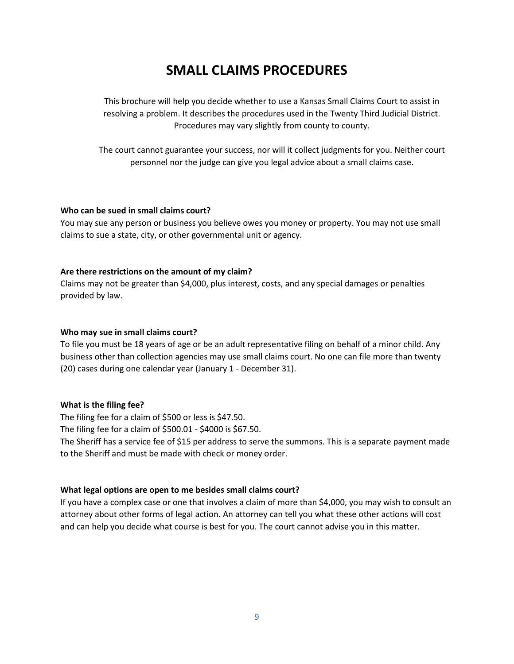# **SMALL CLAIMS PROCEDURES**

This brochure will help you decide whether to use a Kansas Small Claims Court to assist in resolving a problem. It describes the procedures used in the Twenty Third Judicial District. Procedures may vary slightly from county to county.

The court cannot guarantee your success, nor will it collect judgments for you. Neither court personnel nor the judge can give you legal advice about a small claims case.

#### **Who can be sued in small claims court?**

You may sue any person or business you believe owes you money or property. You may not use small claims to sue a state, city, or other governmental unit or agency.

#### **Are there restrictions on the amount of my claim?**

Claims may not be greater than \$4,000, plus interest, costs, and any special damages or penalties provided by law.

#### **Who may sue in small claims court?**

To file you must be 18 years of age or be an adult representative filing on behalf of a minor child. Any business other than collection agencies may use small claims court. No one can file more than twenty (20) cases during one calendar year (January 1 - December 31).

#### **What is the filing fee?**

The filing fee for a claim of \$500 or less is \$47.50.

The filing fee for a claim of \$500.01 - \$4000 is \$67.50.

The Sheriff has a service fee of \$15 per address to serve the summons. This is a separate payment made to the Sheriff and must be made with check or money order.

#### **What legal options are open to me besides small claims court?**

If you have a complex case or one that involves a claim of more than \$4,000, you may wish to consult an attorney about other forms of legal action. An attorney can tell you what these other actions will cost and can help you decide what course is best for you. The court cannot advise you in this matter.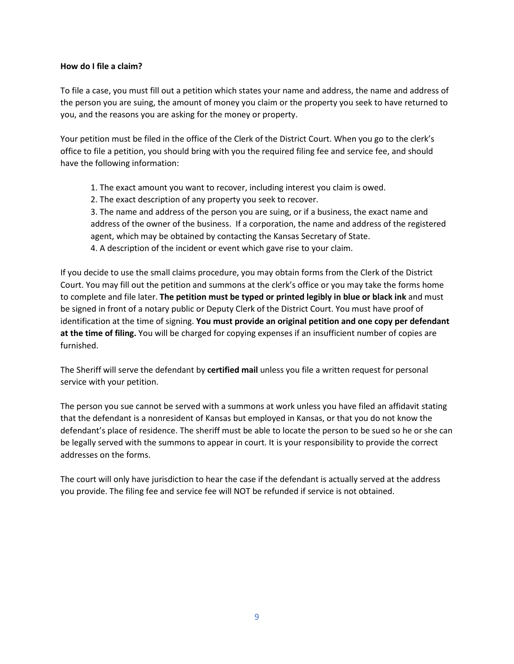#### **How do I file a claim?**

To file a case, you must fill out a petition which states your name and address, the name and address of the person you are suing, the amount of money you claim or the property you seek to have returned to you, and the reasons you are asking for the money or property.

Your petition must be filed in the office of the Clerk of the District Court. When you go to the clerk's office to file a petition, you should bring with you the required filing fee and service fee, and should have the following information:

- 1. The exact amount you want to recover, including interest you claim is owed.
- 2. The exact description of any property you seek to recover.

3. The name and address of the person you are suing, or if a business, the exact name and address of the owner of the business. If a corporation, the name and address of the registered agent, which may be obtained by contacting the Kansas Secretary of State.

4. A description of the incident or event which gave rise to your claim.

If you decide to use the small claims procedure, you may obtain forms from the Clerk of the District Court. You may fill out the petition and summons at the clerk's office or you may take the forms home to complete and file later. **The petition must be typed or printed legibly in blue or black ink** and must be signed in front of a notary public or Deputy Clerk of the District Court. You must have proof of identification at the time of signing. **You must provide an original petition and one copy per defendant at the time of filing.** You will be charged for copying expenses if an insufficient number of copies are furnished.

The Sheriff will serve the defendant by **certified mail** unless you file a written request for personal service with your petition.

The person you sue cannot be served with a summons at work unless you have filed an affidavit stating that the defendant is a nonresident of Kansas but employed in Kansas, or that you do not know the defendant's place of residence. The sheriff must be able to locate the person to be sued so he or she can be legally served with the summons to appear in court. It is your responsibility to provide the correct addresses on the forms.

The court will only have jurisdiction to hear the case if the defendant is actually served at the address you provide. The filing fee and service fee will NOT be refunded if service is not obtained.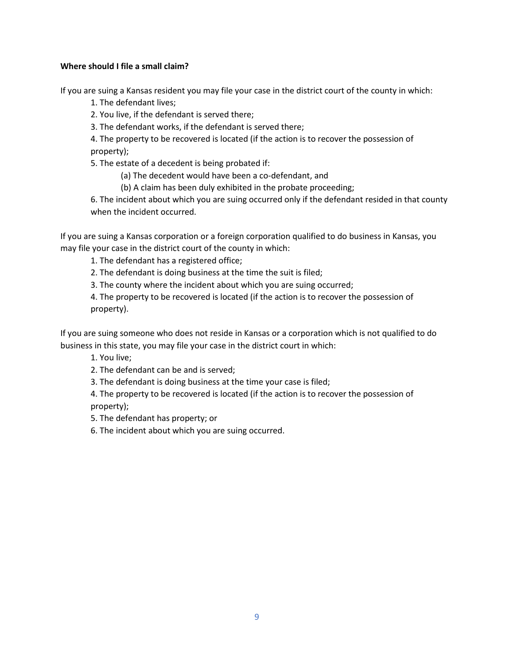#### **Where should I file a small claim?**

If you are suing a Kansas resident you may file your case in the district court of the county in which:

1. The defendant lives;

2. You live, if the defendant is served there;

3. The defendant works, if the defendant is served there;

4. The property to be recovered is located (if the action is to recover the possession of property);

5. The estate of a decedent is being probated if:

(a) The decedent would have been a co-defendant, and

(b) A claim has been duly exhibited in the probate proceeding;

6. The incident about which you are suing occurred only if the defendant resided in that county when the incident occurred.

If you are suing a Kansas corporation or a foreign corporation qualified to do business in Kansas, you may file your case in the district court of the county in which:

1. The defendant has a registered office;

2. The defendant is doing business at the time the suit is filed;

3. The county where the incident about which you are suing occurred;

4. The property to be recovered is located (if the action is to recover the possession of property).

If you are suing someone who does not reside in Kansas or a corporation which is not qualified to do business in this state, you may file your case in the district court in which:

1. You live;

2. The defendant can be and is served;

3. The defendant is doing business at the time your case is filed;

4. The property to be recovered is located (if the action is to recover the possession of property);

5. The defendant has property; or

6. The incident about which you are suing occurred.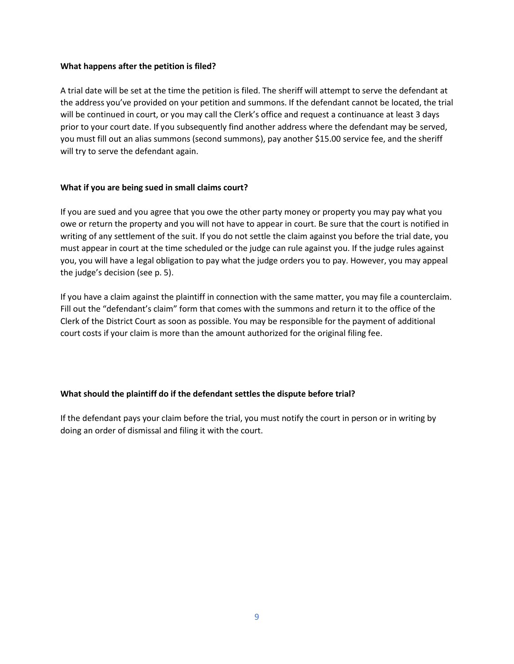#### **What happens after the petition is filed?**

A trial date will be set at the time the petition is filed. The sheriff will attempt to serve the defendant at the address you've provided on your petition and summons. If the defendant cannot be located, the trial will be continued in court, or you may call the Clerk's office and request a continuance at least 3 days prior to your court date. If you subsequently find another address where the defendant may be served, you must fill out an alias summons (second summons), pay another \$15.00 service fee, and the sheriff will try to serve the defendant again.

#### **What if you are being sued in small claims court?**

If you are sued and you agree that you owe the other party money or property you may pay what you owe or return the property and you will not have to appear in court. Be sure that the court is notified in writing of any settlement of the suit. If you do not settle the claim against you before the trial date, you must appear in court at the time scheduled or the judge can rule against you. If the judge rules against you, you will have a legal obligation to pay what the judge orders you to pay. However, you may appeal the judge's decision (see p. 5).

If you have a claim against the plaintiff in connection with the same matter, you may file a counterclaim. Fill out the "defendant's claim" form that comes with the summons and return it to the office of the Clerk of the District Court as soon as possible. You may be responsible for the payment of additional court costs if your claim is more than the amount authorized for the original filing fee.

#### **What should the plaintiff do if the defendant settles the dispute before trial?**

If the defendant pays your claim before the trial, you must notify the court in person or in writing by doing an order of dismissal and filing it with the court.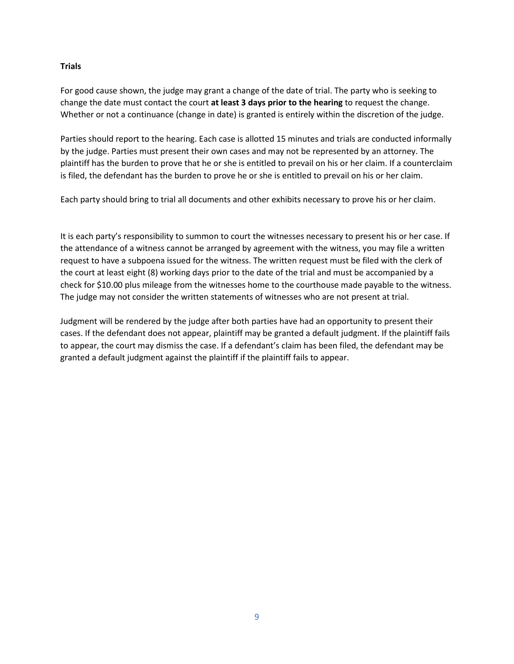#### **Trials**

For good cause shown, the judge may grant a change of the date of trial. The party who is seeking to change the date must contact the court **at least 3 days prior to the hearing** to request the change. Whether or not a continuance (change in date) is granted is entirely within the discretion of the judge.

Parties should report to the hearing. Each case is allotted 15 minutes and trials are conducted informally by the judge. Parties must present their own cases and may not be represented by an attorney. The plaintiff has the burden to prove that he or she is entitled to prevail on his or her claim. If a counterclaim is filed, the defendant has the burden to prove he or she is entitled to prevail on his or her claim.

Each party should bring to trial all documents and other exhibits necessary to prove his or her claim.

It is each party's responsibility to summon to court the witnesses necessary to present his or her case. If the attendance of a witness cannot be arranged by agreement with the witness, you may file a written request to have a subpoena issued for the witness. The written request must be filed with the clerk of the court at least eight (8) working days prior to the date of the trial and must be accompanied by a check for \$10.00 plus mileage from the witnesses home to the courthouse made payable to the witness. The judge may not consider the written statements of witnesses who are not present at trial.

Judgment will be rendered by the judge after both parties have had an opportunity to present their cases. If the defendant does not appear, plaintiff may be granted a default judgment. If the plaintiff fails to appear, the court may dismiss the case. If a defendant's claim has been filed, the defendant may be granted a default judgment against the plaintiff if the plaintiff fails to appear.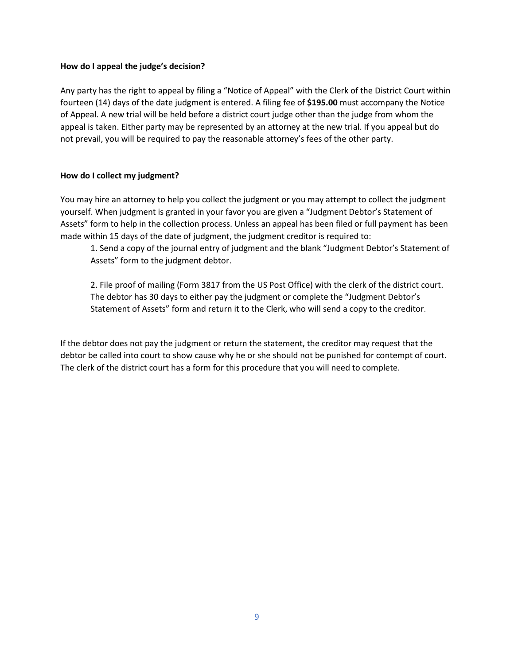#### **How do I appeal the judge's decision?**

Any party has the right to appeal by filing a "Notice of Appeal" with the Clerk of the District Court within fourteen (14) days of the date judgment is entered. A filing fee of **\$195.00** must accompany the Notice of Appeal. A new trial will be held before a district court judge other than the judge from whom the appeal is taken. Either party may be represented by an attorney at the new trial. If you appeal but do not prevail, you will be required to pay the reasonable attorney's fees of the other party.

#### **How do I collect my judgment?**

You may hire an attorney to help you collect the judgment or you may attempt to collect the judgment yourself. When judgment is granted in your favor you are given a "Judgment Debtor's Statement of Assets" form to help in the collection process. Unless an appeal has been filed or full payment has been made within 15 days of the date of judgment, the judgment creditor is required to:

1. Send a copy of the journal entry of judgment and the blank "Judgment Debtor's Statement of Assets" form to the judgment debtor.

2. File proof of mailing (Form 3817 from the US Post Office) with the clerk of the district court. The debtor has 30 days to either pay the judgment or complete the "Judgment Debtor's Statement of Assets" form and return it to the Clerk, who will send a copy to the creditor.

If the debtor does not pay the judgment or return the statement, the creditor may request that the debtor be called into court to show cause why he or she should not be punished for contempt of court. The clerk of the district court has a form for this procedure that you will need to complete.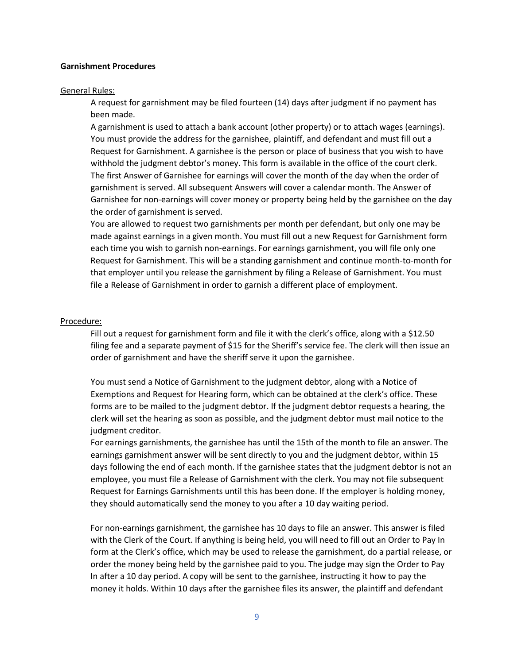#### **Garnishment Procedures**

#### General Rules:

A request for garnishment may be filed fourteen (14) days after judgment if no payment has been made.

A garnishment is used to attach a bank account (other property) or to attach wages (earnings). You must provide the address for the garnishee, plaintiff, and defendant and must fill out a Request for Garnishment. A garnishee is the person or place of business that you wish to have withhold the judgment debtor's money. This form is available in the office of the court clerk. The first Answer of Garnishee for earnings will cover the month of the day when the order of garnishment is served. All subsequent Answers will cover a calendar month. The Answer of Garnishee for non-earnings will cover money or property being held by the garnishee on the day the order of garnishment is served.

You are allowed to request two garnishments per month per defendant, but only one may be made against earnings in a given month. You must fill out a new Request for Garnishment form each time you wish to garnish non-earnings. For earnings garnishment, you will file only one Request for Garnishment. This will be a standing garnishment and continue month-to-month for that employer until you release the garnishment by filing a Release of Garnishment. You must file a Release of Garnishment in order to garnish a different place of employment.

#### Procedure:

Fill out a request for garnishment form and file it with the clerk's office, along with a \$12.50 filing fee and a separate payment of \$15 for the Sheriff's service fee. The clerk will then issue an order of garnishment and have the sheriff serve it upon the garnishee.

You must send a Notice of Garnishment to the judgment debtor, along with a Notice of Exemptions and Request for Hearing form, which can be obtained at the clerk's office. These forms are to be mailed to the judgment debtor. If the judgment debtor requests a hearing, the clerk will set the hearing as soon as possible, and the judgment debtor must mail notice to the judgment creditor.

For earnings garnishments, the garnishee has until the 15th of the month to file an answer. The earnings garnishment answer will be sent directly to you and the judgment debtor, within 15 days following the end of each month. If the garnishee states that the judgment debtor is not an employee, you must file a Release of Garnishment with the clerk. You may not file subsequent Request for Earnings Garnishments until this has been done. If the employer is holding money, they should automatically send the money to you after a 10 day waiting period.

For non-earnings garnishment, the garnishee has 10 days to file an answer. This answer is filed with the Clerk of the Court. If anything is being held, you will need to fill out an Order to Pay In form at the Clerk's office, which may be used to release the garnishment, do a partial release, or order the money being held by the garnishee paid to you. The judge may sign the Order to Pay In after a 10 day period. A copy will be sent to the garnishee, instructing it how to pay the money it holds. Within 10 days after the garnishee files its answer, the plaintiff and defendant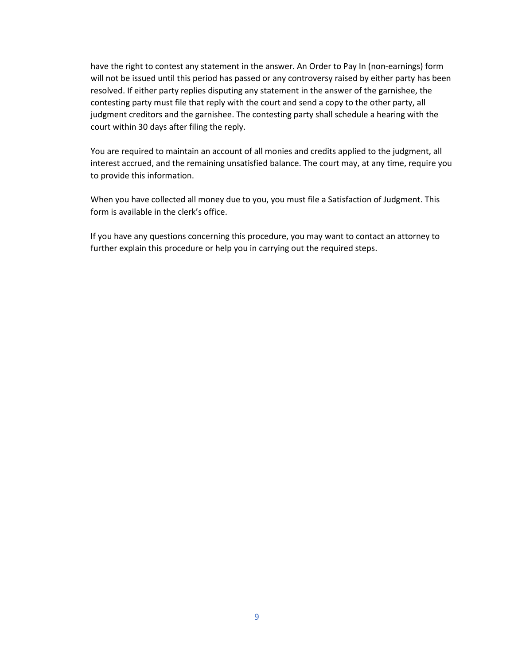have the right to contest any statement in the answer. An Order to Pay In (non-earnings) form will not be issued until this period has passed or any controversy raised by either party has been resolved. If either party replies disputing any statement in the answer of the garnishee, the contesting party must file that reply with the court and send a copy to the other party, all judgment creditors and the garnishee. The contesting party shall schedule a hearing with the court within 30 days after filing the reply.

You are required to maintain an account of all monies and credits applied to the judgment, all interest accrued, and the remaining unsatisfied balance. The court may, at any time, require you to provide this information.

When you have collected all money due to you, you must file a Satisfaction of Judgment. This form is available in the clerk's office.

If you have any questions concerning this procedure, you may want to contact an attorney to further explain this procedure or help you in carrying out the required steps.